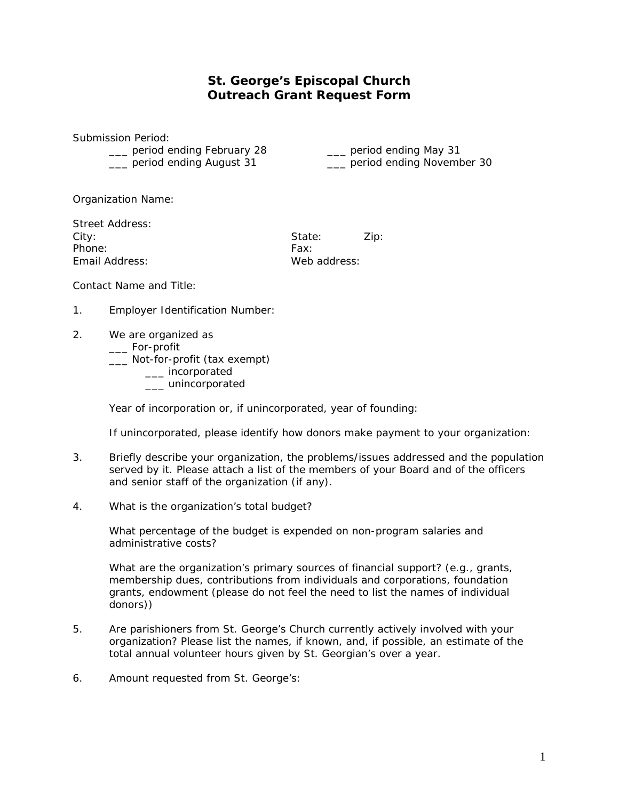## **St. George's Episcopal Church Outreach Grant Request Form**

Submission Period:

\_\_\_ period ending February 28 \_\_\_ period ending May 31 \_\_\_ period ending August 31 \_\_\_ period ending November 30

Organization Name:

| Street Address: |              |      |
|-----------------|--------------|------|
| City:           | State:       | Zip: |
| Phone:          | Fax:         |      |
| Email Address:  | Web address: |      |

Contact Name and Title:

- 1. Employer Identification Number:
- 2. We are organized as
	- \_\_\_ For-profit
	- \_\_\_ Not-for-profit (tax exempt)
		- \_\_\_ incorporated
		- \_\_\_ unincorporated

Year of incorporation or, if unincorporated, year of founding:

If unincorporated, please identify how donors make payment to your organization:

- 3. Briefly describe your organization, the problems/issues addressed and the population served by it. Please attach a list of the members of your Board and of the officers and senior staff of the organization (if any).
- 4. What is the organization's total budget?

What percentage of the budget is expended on non-program salaries and administrative costs?

What are the organization's primary sources of financial support? (e.g., grants, membership dues, contributions from individuals and corporations, foundation grants, endowment (please do not feel the need to list the names of individual donors))

- 5. Are parishioners from St. George's Church currently actively involved with your organization? Please list the names, if known, and, if possible, an estimate of the total annual volunteer hours given by St. Georgian's over a year.
- 6. Amount requested from St. George's: